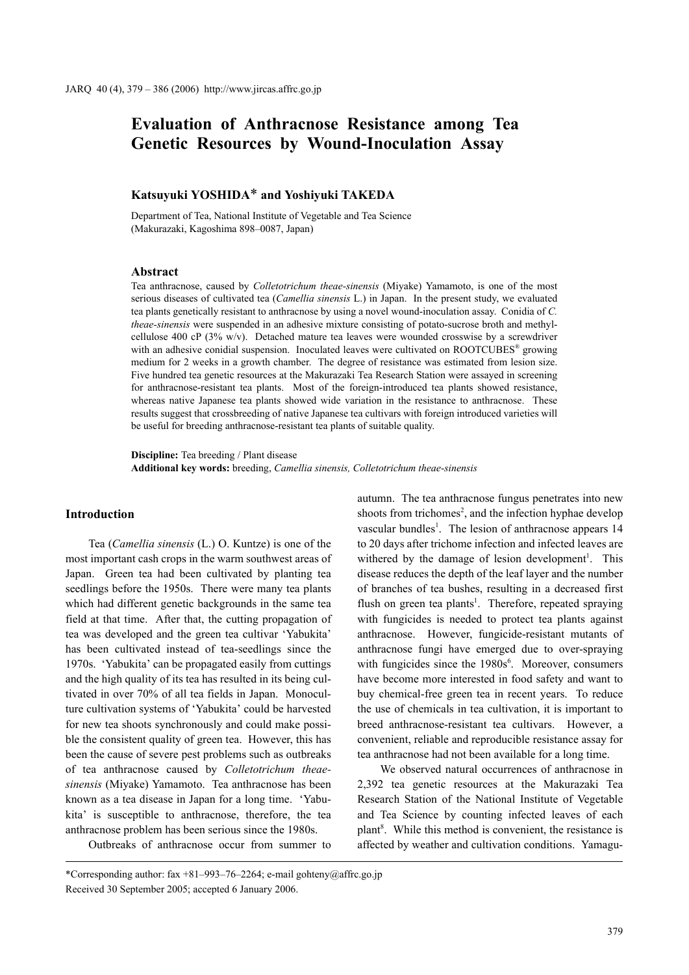# **Evaluation of Anthracnose Resistance among Tea Genetic Resources by Wound-Inoculation Assay**

# **Katsuyuki YOSHIDA**\* **and Yoshiyuki TAKEDA**

Department of Tea, National Institute of Vegetable and Tea Science (Makurazaki, Kagoshima 898–0087, Japan)

### **Abstract**

Tea anthracnose, caused by *Colletotrichum theae-sinensis* (Miyake) Yamamoto, is one of the most serious diseases of cultivated tea (*Camellia sinensis* L.) in Japan. In the present study, we evaluated tea plants genetically resistant to anthracnose by using a novel wound-inoculation assay. Conidia of *C. theae-sinensis* were suspended in an adhesive mixture consisting of potato-sucrose broth and methylcellulose 400 cP ( $3\%$  w/v). Detached mature tea leaves were wounded crosswise by a screwdriver with an adhesive conidial suspension. Inoculated leaves were cultivated on ROOTCUBES<sup>®</sup> growing medium for 2 weeks in a growth chamber. The degree of resistance was estimated from lesion size. Five hundred tea genetic resources at the Makurazaki Tea Research Station were assayed in screening for anthracnose-resistant tea plants. Most of the foreign-introduced tea plants showed resistance, whereas native Japanese tea plants showed wide variation in the resistance to anthracnose. These results suggest that crossbreeding of native Japanese tea cultivars with foreign introduced varieties will be useful for breeding anthracnose-resistant tea plants of suitable quality.

**Discipline:** Tea breeding / Plant disease **Additional key words:** breeding, *Camellia sinensis, Colletotrichum theae-sinensis*

### **Introduction**

Tea (*Camellia sinensis* (L.) O. Kuntze) is one of the most important cash crops in the warm southwest areas of Japan. Green tea had been cultivated by planting tea seedlings before the 1950s. There were many tea plants which had different genetic backgrounds in the same tea field at that time. After that, the cutting propagation of tea was developed and the green tea cultivar 'Yabukita' has been cultivated instead of tea-seedlings since the 1970s. 'Yabukita' can be propagated easily from cuttings and the high quality of its tea has resulted in its being cultivated in over 70% of all tea fields in Japan. Monoculture cultivation systems of 'Yabukita' could be harvested for new tea shoots synchronously and could make possible the consistent quality of green tea. However, this has been the cause of severe pest problems such as outbreaks of tea anthracnose caused by *Colletotrichum theaesinensis* (Miyake) Yamamoto. Tea anthracnose has been known as a tea disease in Japan for a long time. 'Yabukita' is susceptible to anthracnose, therefore, the tea anthracnose problem has been serious since the 1980s.

Outbreaks of anthracnose occur from summer to

autumn. The tea anthracnose fungus penetrates into new shoots from trichomes<sup>2</sup>, and the infection hyphae develop vascular bundles<sup>1</sup>. The lesion of anthracnose appears 14 to 20 days after trichome infection and infected leaves are withered by the damage of lesion development<sup>1</sup>. This disease reduces the depth of the leaf layer and the number of branches of tea bushes, resulting in a decreased first flush on green tea plants<sup>1</sup>. Therefore, repeated spraying with fungicides is needed to protect tea plants against anthracnose. However, fungicide-resistant mutants of anthracnose fungi have emerged due to over-spraying with fungicides since the 1980s<sup>6</sup>. Moreover, consumers have become more interested in food safety and want to buy chemical-free green tea in recent years. To reduce the use of chemicals in tea cultivation, it is important to breed anthracnose-resistant tea cultivars. However, a convenient, reliable and reproducible resistance assay for tea anthracnose had not been available for a long time.

We observed natural occurrences of anthracnose in 2,392 tea genetic resources at the Makurazaki Tea Research Station of the National Institute of Vegetable and Tea Science by counting infected leaves of each plant<sup>8</sup>. While this method is convenient, the resistance is affected by weather and cultivation conditions. Yamagu-

<sup>\*</sup>Corresponding author: fax +81–993–76–2264; e-mail gohteny@affrc.go.jp Received 30 September 2005; accepted 6 January 2006.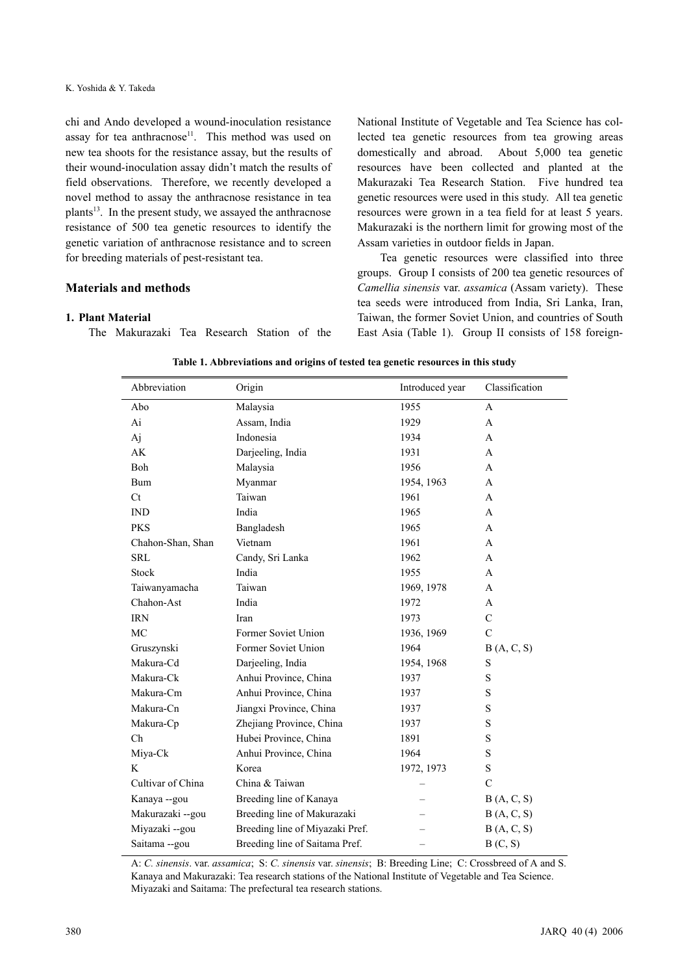chi and Ando developed a wound-inoculation resistance assay for tea anthracnose<sup>11</sup>. This method was used on new tea shoots for the resistance assay, but the results of their wound-inoculation assay didn't match the results of field observations. Therefore, we recently developed a novel method to assay the anthracnose resistance in tea plants $13$ . In the present study, we assayed the anthracnose resistance of 500 tea genetic resources to identify the genetic variation of anthracnose resistance and to screen for breeding materials of pest-resistant tea.

### **Materials and methods**

### **1. Plant Material**

The Makurazaki Tea Research Station of the

National Institute of Vegetable and Tea Science has collected tea genetic resources from tea growing areas domestically and abroad. About 5,000 tea genetic resources have been collected and planted at the Makurazaki Tea Research Station. Five hundred tea genetic resources were used in this study. All tea genetic resources were grown in a tea field for at least 5 years. Makurazaki is the northern limit for growing most of the Assam varieties in outdoor fields in Japan.

Tea genetic resources were classified into three groups. Group I consists of 200 tea genetic resources of *Camellia sinensis* var. *assamica* (Assam variety). These tea seeds were introduced from India, Sri Lanka, Iran, Taiwan, the former Soviet Union, and countries of South East Asia (Table 1). Group II consists of 158 foreign-

| Abbreviation      | Origin                          | Introduced year | Classification |
|-------------------|---------------------------------|-----------------|----------------|
| Abo               | Malaysia                        | 1955            | A              |
| Ai                | Assam, India                    | 1929            | A              |
| Aj                | Indonesia                       | 1934            | A              |
| AK                | Darjeeling, India               | 1931            | A              |
| Boh               | Malaysia                        | 1956            | A              |
| <b>Bum</b>        | Myanmar                         | 1954, 1963      | A              |
| Ct                | Taiwan                          | 1961            | A              |
| IND               | India                           | 1965            | A              |
| <b>PKS</b>        | Bangladesh                      | 1965            | A              |
| Chahon-Shan, Shan | Vietnam                         | 1961            | A              |
| <b>SRL</b>        | Candy, Sri Lanka                | 1962            | A              |
| Stock             | India                           | 1955            | A              |
| Taiwanyamacha     | Taiwan                          | 1969, 1978      | A              |
| Chahon-Ast        | India                           | 1972            | A              |
| <b>IRN</b>        | Iran                            | 1973            | $\mathcal{C}$  |
| <b>MC</b>         | Former Soviet Union             | 1936, 1969      | $\mathcal{C}$  |
| Gruszynski        | Former Soviet Union             | 1964            | B(A, C, S)     |
| Makura-Cd         | Darjeeling, India               | 1954, 1968      | ${\bf S}$      |
| Makura-Ck         | Anhui Province, China           | 1937            | $\mathbf S$    |
| Makura-Cm         | Anhui Province, China           | 1937            | S              |
| Makura-Cn         | Jiangxi Province, China         | 1937            | S              |
| Makura-Cp         | Zhejiang Province, China        | 1937            | ${\bf S}$      |
| Ch                | Hubei Province, China           | 1891            | S              |
| Miya-Ck           | Anhui Province, China           | 1964            | ${\bf S}$      |
| K                 | Korea                           | 1972, 1973      | S              |
| Cultivar of China | China & Taiwan                  |                 | $\mathcal{C}$  |
| Kanaya -- gou     | Breeding line of Kanaya         |                 | B(A, C, S)     |
| Makurazaki --gou  | Breeding line of Makurazaki     |                 | B(A, C, S)     |
| Miyazaki --gou    | Breeding line of Miyazaki Pref. |                 | B(A, C, S)     |
| Saitama --gou     | Breeding line of Saitama Pref.  |                 | B(C, S)        |

**Table 1. Abbreviations and origins of tested tea genetic resources in this study**

A: *C. sinensis*. var. *assamica*; S: *C. sinensis* var. *sinensis*; B: Breeding Line; C: Crossbreed of A and S. Kanaya and Makurazaki: Tea research stations of the National Institute of Vegetable and Tea Science. Miyazaki and Saitama: The prefectural tea research stations.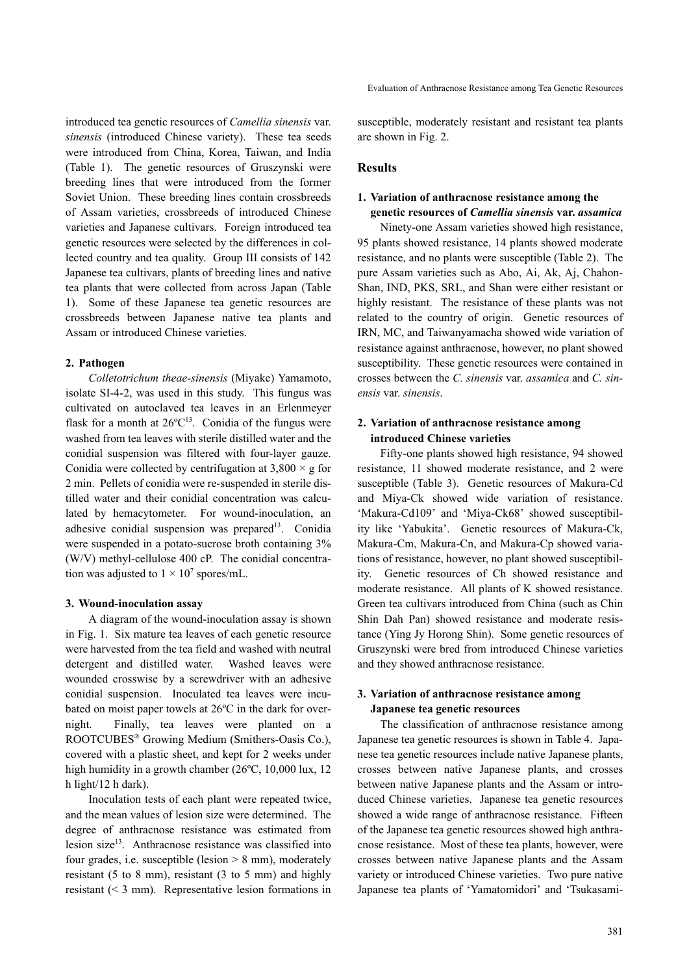introduced tea genetic resources of *Camellia sinensis* var. *sinensis* (introduced Chinese variety). These tea seeds were introduced from China, Korea, Taiwan, and India (Table 1). The genetic resources of Gruszynski were breeding lines that were introduced from the former Soviet Union. These breeding lines contain crossbreeds of Assam varieties, crossbreeds of introduced Chinese varieties and Japanese cultivars. Foreign introduced tea genetic resources were selected by the differences in collected country and tea quality. Group III consists of 142 Japanese tea cultivars, plants of breeding lines and native tea plants that were collected from across Japan (Table 1). Some of these Japanese tea genetic resources are crossbreeds between Japanese native tea plants and Assam or introduced Chinese varieties.

### **2. Pathogen**

*Colletotrichum theae-sinensis* (Miyake) Yamamoto, isolate SI-4-2, was used in this study. This fungus was cultivated on autoclaved tea leaves in an Erlenmeyer flask for a month at  $26^{\circ}C^{13}$ . Conidia of the fungus were washed from tea leaves with sterile distilled water and the conidial suspension was filtered with four-layer gauze. Conidia were collected by centrifugation at  $3,800 \times g$  for 2 min. Pellets of conidia were re-suspended in sterile distilled water and their conidial concentration was calculated by hemacytometer. For wound-inoculation, an adhesive conidial suspension was prepared<sup>13</sup>. Conidia were suspended in a potato-sucrose broth containing 3% (W/V) methyl-cellulose 400 cP. The conidial concentration was adjusted to  $1 \times 10^7$  spores/mL.

#### **3. Wound-inoculation assay**

A diagram of the wound-inoculation assay is shown in Fig. 1. Six mature tea leaves of each genetic resource were harvested from the tea field and washed with neutral detergent and distilled water. Washed leaves were wounded crosswise by a screwdriver with an adhesive conidial suspension. Inoculated tea leaves were incubated on moist paper towels at 26ºC in the dark for overnight. Finally, tea leaves were planted on a ROOTCUBES® Growing Medium (Smithers-Oasis Co.), covered with a plastic sheet, and kept for 2 weeks under high humidity in a growth chamber (26<sup>o</sup>C, 10,000 lux, 12) h light/12 h dark).

Inoculation tests of each plant were repeated twice, and the mean values of lesion size were determined. The degree of anthracnose resistance was estimated from lesion size<sup>13</sup>. Anthracnose resistance was classified into four grades, i.e. susceptible (lesion  $> 8$  mm), moderately resistant (5 to 8 mm), resistant (3 to 5 mm) and highly resistant (< 3 mm). Representative lesion formations in susceptible, moderately resistant and resistant tea plants are shown in Fig. 2.

#### **Results**

### **1. Variation of anthracnose resistance among the genetic resources of** *Camellia sinensis* **var.** *assamica*

Ninety-one Assam varieties showed high resistance, 95 plants showed resistance, 14 plants showed moderate resistance, and no plants were susceptible (Table 2). The pure Assam varieties such as Abo, Ai, Ak, Aj, Chahon-Shan, IND, PKS, SRL, and Shan were either resistant or highly resistant. The resistance of these plants was not related to the country of origin. Genetic resources of IRN, MC, and Taiwanyamacha showed wide variation of resistance against anthracnose, however, no plant showed susceptibility. These genetic resources were contained in crosses between the *C. sinensis* var. *assamica* and *C. sinensis* var. *sinensis*.

## **2. Variation of anthracnose resistance among introduced Chinese varieties**

Fifty-one plants showed high resistance, 94 showed resistance, 11 showed moderate resistance, and 2 were susceptible (Table 3). Genetic resources of Makura-Cd and Miya-Ck showed wide variation of resistance. 'Makura-Cd109' and 'Miya-Ck68' showed susceptibility like 'Yabukita'. Genetic resources of Makura-Ck, Makura-Cm, Makura-Cn, and Makura-Cp showed variations of resistance, however, no plant showed susceptibility. Genetic resources of Ch showed resistance and moderate resistance. All plants of K showed resistance. Green tea cultivars introduced from China (such as Chin Shin Dah Pan) showed resistance and moderate resistance (Ying Jy Horong Shin). Some genetic resources of Gruszynski were bred from introduced Chinese varieties and they showed anthracnose resistance.

### **3. Variation of anthracnose resistance among Japanese tea genetic resources**

The classification of anthracnose resistance among Japanese tea genetic resources is shown in Table 4. Japanese tea genetic resources include native Japanese plants, crosses between native Japanese plants, and crosses between native Japanese plants and the Assam or introduced Chinese varieties. Japanese tea genetic resources showed a wide range of anthracnose resistance. Fifteen of the Japanese tea genetic resources showed high anthracnose resistance. Most of these tea plants, however, were crosses between native Japanese plants and the Assam variety or introduced Chinese varieties. Two pure native Japanese tea plants of 'Yamatomidori' and 'Tsukasami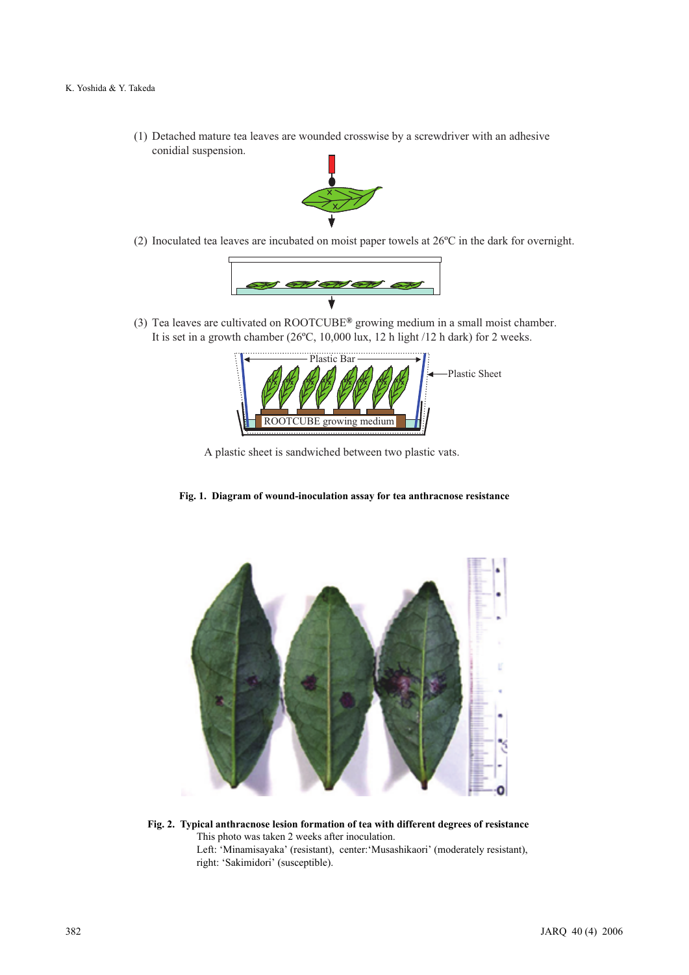(1) Detached mature tea leaves are wounded crosswise by a screwdriver with an adhesive conidial suspension.



(2) Inoculated tea leaves are incubated on moist paper towels at 26ºC in the dark for overnight.



(3) Tea leaves are cultivated on ROOTCUBE**®** growing medium in a small moist chamber. It is set in a growth chamber (26ºC, 10,000 lux, 12 h light /12 h dark) for 2 weeks.



A plastic sheet is sandwiched between two plastic vats.

### **Fig. 1. Diagram of wound-inoculation assay for tea anthracnose resistance**



**Fig. 2. Typical anthracnose lesion formation of tea with different degrees of resistance** This photo was taken 2 weeks after inoculation.

Left: 'Minamisayaka' (resistant), center:'Musashikaori' (moderately resistant), right: 'Sakimidori' (susceptible).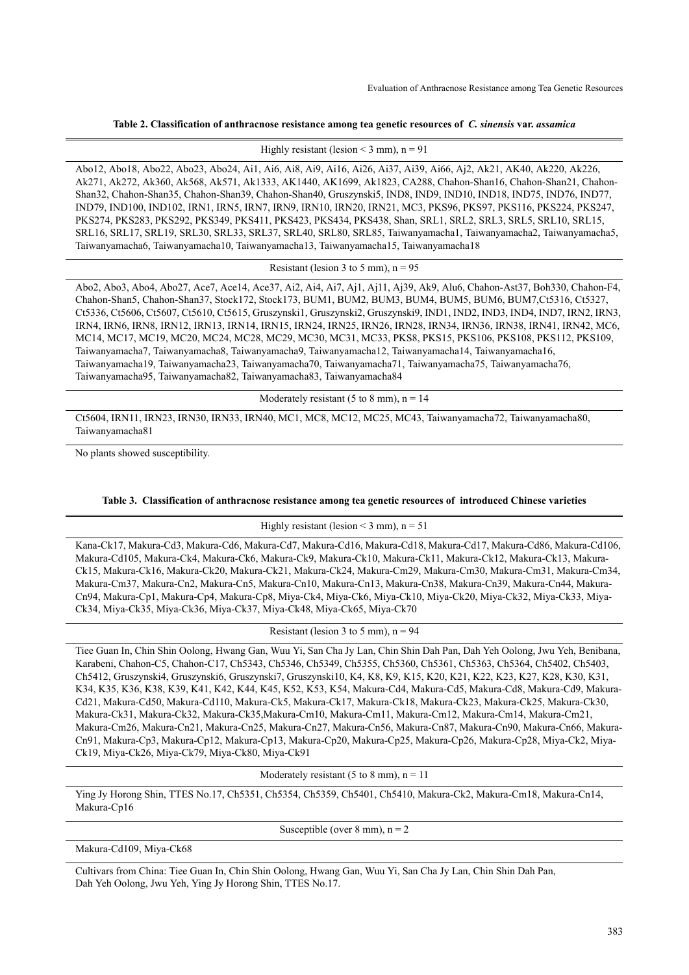**Table 2. Classification of anthracnose resistance among tea genetic resources of** *C. sinensis* **var.** *assamica*

Highly resistant (lesion  $\leq$  3 mm), n = 91

Abo12, Abo18, Abo22, Abo23, Abo24, Ai1, Ai6, Ai8, Ai9, Ai16, Ai26, Ai37, Ai39, Ai66, Aj2, Ak21, AK40, Ak220, Ak226, Ak271, Ak272, Ak360, Ak568, Ak571, Ak1333, AK1440, AK1699, Ak1823, CA288, Chahon-Shan16, Chahon-Shan21, Chahon-Shan32, Chahon-Shan35, Chahon-Shan39, Chahon-Shan40, Gruszynski5, IND8, IND9, IND10, IND18, IND75, IND76, IND77, IND79, IND100, IND102, IRN1, IRN5, IRN7, IRN9, IRN10, IRN20, IRN21, MC3, PKS96, PKS97, PKS116, PKS224, PKS247, PKS274, PKS283, PKS292, PKS349, PKS411, PKS423, PKS434, PKS438, Shan, SRL1, SRL2, SRL3, SRL5, SRL10, SRL15, SRL16, SRL17, SRL19, SRL30, SRL33, SRL37, SRL40, SRL80, SRL85, Taiwanyamacha1, Taiwanyamacha2, Taiwanyamacha5, Taiwanyamacha6, Taiwanyamacha10, Taiwanyamacha13, Taiwanyamacha15, Taiwanyamacha18

Resistant (lesion 3 to 5 mm),  $n = 95$ 

Abo2, Abo3, Abo4, Abo27, Ace7, Ace14, Ace37, Ai2, Ai4, Ai7, Aj1, Aj11, Aj39, Ak9, Alu6, Chahon-Ast37, Boh330, Chahon-F4, Chahon-Shan5, Chahon-Shan37, Stock172, Stock173, BUM1, BUM2, BUM3, BUM4, BUM5, BUM6, BUM7,Ct5316, Ct5327, Ct5336, Ct5606, Ct5607, Ct5610, Ct5615, Gruszynski1, Gruszynski2, Gruszynski9, IND1, IND2, IND3, IND4, IND7, IRN2, IRN3, IRN4, IRN6, IRN8, IRN12, IRN13, IRN14, IRN15, IRN24, IRN25, IRN26, IRN28, IRN34, IRN36, IRN38, IRN41, IRN42, MC6, MC14, MC17, MC19, MC20, MC24, MC28, MC29, MC30, MC31, MC33, PKS8, PKS15, PKS106, PKS108, PKS112, PKS109, Taiwanyamacha7, Taiwanyamacha8, Taiwanyamacha9, Taiwanyamacha12, Taiwanyamacha14, Taiwanyamacha16, Taiwanyamacha19, Taiwanyamacha23, Taiwanyamacha70, Taiwanyamacha71, Taiwanyamacha75, Taiwanyamacha76, Taiwanyamacha95, Taiwanyamacha82, Taiwanyamacha83, Taiwanyamacha84

Moderately resistant (5 to 8 mm),  $n = 14$ 

Ct5604, IRN11, IRN23, IRN30, IRN33, IRN40, MC1, MC8, MC12, MC25, MC43, Taiwanyamacha72, Taiwanyamacha80, Taiwanyamacha81

No plants showed susceptibility.

### **Table 3. Classification of anthracnose resistance among tea genetic resources of introduced Chinese varieties**

#### Highly resistant (lesion  $\leq$  3 mm), n = 51

Kana-Ck17, Makura-Cd3, Makura-Cd6, Makura-Cd7, Makura-Cd16, Makura-Cd18, Makura-Cd17, Makura-Cd86, Makura-Cd106, Makura-Cd105, Makura-Ck4, Makura-Ck6, Makura-Ck9, Makura-Ck10, Makura-Ck11, Makura-Ck12, Makura-Ck13, Makura-Ck15, Makura-Ck16, Makura-Ck20, Makura-Ck21, Makura-Ck24, Makura-Cm29, Makura-Cm30, Makura-Cm31, Makura-Cm34, Makura-Cm37, Makura-Cn2, Makura-Cn5, Makura-Cn10, Makura-Cn13, Makura-Cn38, Makura-Cn39, Makura-Cn44, Makura-Cn94, Makura-Cp1, Makura-Cp4, Makura-Cp8, Miya-Ck4, Miya-Ck6, Miya-Ck10, Miya-Ck20, Miya-Ck32, Miya-Ck33, Miya-Ck34, Miya-Ck35, Miya-Ck36, Miya-Ck37, Miya-Ck48, Miya-Ck65, Miya-Ck70

Resistant (lesion 3 to 5 mm),  $n = 94$ 

Tiee Guan In, Chin Shin Oolong, Hwang Gan, Wuu Yi, San Cha Jy Lan, Chin Shin Dah Pan, Dah Yeh Oolong, Jwu Yeh, Benibana, Karabeni, Chahon-C5, Chahon-C17, Ch5343, Ch5346, Ch5349, Ch5355, Ch5360, Ch5361, Ch5363, Ch5364, Ch5402, Ch5403, Ch5412, Gruszynski4, Gruszynski6, Gruszynski7, Gruszynski10, K4, K8, K9, K15, K20, K21, K22, K23, K27, K28, K30, K31, K34, K35, K36, K38, K39, K41, K42, K44, K45, K52, K53, K54, Makura-Cd4, Makura-Cd5, Makura-Cd8, Makura-Cd9, Makura-Cd21, Makura-Cd50, Makura-Cd110, Makura-Ck5, Makura-Ck17, Makura-Ck18, Makura-Ck23, Makura-Ck25, Makura-Ck30, Makura-Ck31, Makura-Ck32, Makura-Ck35,Makura-Cm10, Makura-Cm11, Makura-Cm12, Makura-Cm14, Makura-Cm21, Makura-Cm26, Makura-Cn21, Makura-Cn25, Makura-Cn27, Makura-Cn56, Makura-Cn87, Makura-Cn90, Makura-Cn66, Makura-Cn91, Makura-Cp3, Makura-Cp12, Makura-Cp13, Makura-Cp20, Makura-Cp25, Makura-Cp26, Makura-Cp28, Miya-Ck2, Miya-Ck19, Miya-Ck26, Miya-Ck79, Miya-Ck80, Miya-Ck91

Moderately resistant (5 to 8 mm),  $n = 11$ 

Ying Jy Horong Shin, TTES No.17, Ch5351, Ch5354, Ch5359, Ch5401, Ch5410, Makura-Ck2, Makura-Cm18, Makura-Cn14, Makura-Cp16

Susceptible (over  $8 \text{ mm}$ ),  $n = 2$ 

Makura-Cd109, Miya-Ck68

Cultivars from China: Tiee Guan In, Chin Shin Oolong, Hwang Gan, Wuu Yi, San Cha Jy Lan, Chin Shin Dah Pan, Dah Yeh Oolong, Jwu Yeh, Ying Jy Horong Shin, TTES No.17.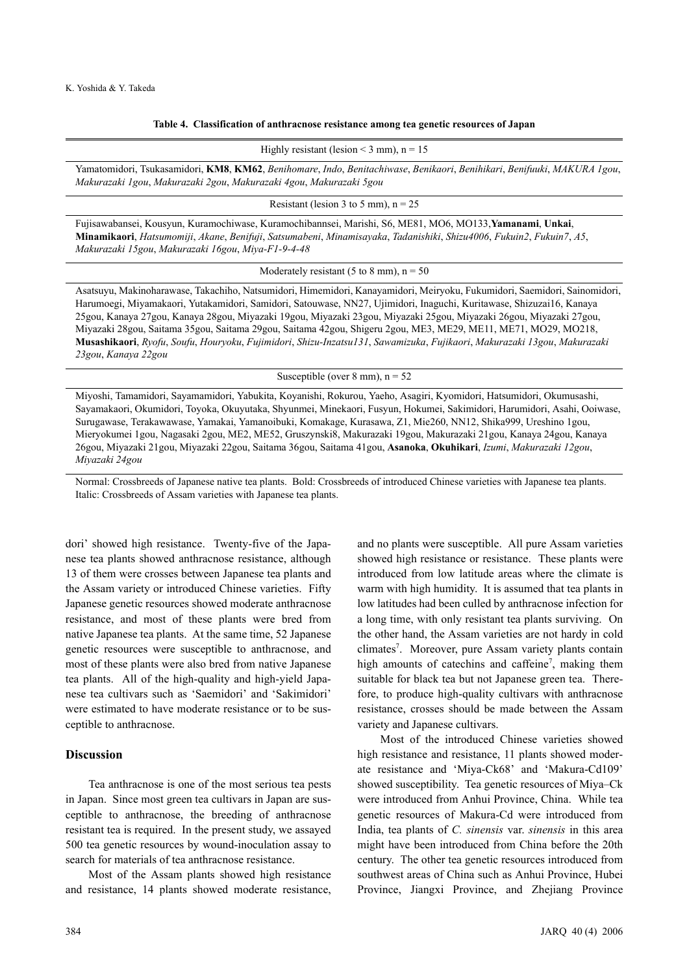#### **Table 4. Classification of anthracnose resistance among tea genetic resources of Japan**

#### Highly resistant (lesion  $\leq$  3 mm), n = 15

Yamatomidori, Tsukasamidori, **KM8**, **KM62**, *Benihomare*, *Indo*, *Benitachiwase*, *Benikaori*, *Benihikari*, *Benifuuki*, *MAKURA 1gou*, *Makurazaki 1gou*, *Makurazaki 2gou*, *Makurazaki 4gou*, *Makurazaki 5gou*

Resistant (lesion 3 to 5 mm),  $n = 25$ 

Fujisawabansei, Kousyun, Kuramochiwase, Kuramochibannsei, Marishi, S6, ME81, MO6, MO133,**Yamanami**, **Unkai**, **Minamikaori**, *Hatsumomiji*, *Akane*, *Benifuji*, *Satsumabeni*, *Minamisayaka*, *Tadanishiki*, *Shizu4006*, *Fukuin2*, *Fukuin7*, *A5*, *Makurazaki 15gou*, *Makurazaki 16gou*, *Miya-F1-9-4-48*

Moderately resistant (5 to 8 mm),  $n = 50$ 

Asatsuyu, Makinoharawase, Takachiho, Natsumidori, Himemidori, Kanayamidori, Meiryoku, Fukumidori, Saemidori, Sainomidori, Harumoegi, Miyamakaori, Yutakamidori, Samidori, Satouwase, NN27, Ujimidori, Inaguchi, Kuritawase, Shizuzai16, Kanaya 25gou, Kanaya 27gou, Kanaya 28gou, Miyazaki 19gou, Miyazaki 23gou, Miyazaki 25gou, Miyazaki 26gou, Miyazaki 27gou, Miyazaki 28gou, Saitama 35gou, Saitama 29gou, Saitama 42gou, Shigeru 2gou, ME3, ME29, ME11, ME71, MO29, MO218, **Musashikaori**, *Ryofu*, *Soufu*, *Houryoku*, *Fujimidori*, *Shizu-Inzatsu131*, *Sawamizuka*, *Fujikaori*, *Makurazaki 13gou*, *Makurazaki 23gou*, *Kanaya 22gou*

Susceptible (over 8 mm),  $n = 52$ 

Miyoshi, Tamamidori, Sayamamidori, Yabukita, Koyanishi, Rokurou, Yaeho, Asagiri, Kyomidori, Hatsumidori, Okumusashi, Sayamakaori, Okumidori, Toyoka, Okuyutaka, Shyunmei, Minekaori, Fusyun, Hokumei, Sakimidori, Harumidori, Asahi, Ooiwase, Surugawase, Terakawawase, Yamakai, Yamanoibuki, Komakage, Kurasawa, Z1, Mie260, NN12, Shika999, Ureshino 1gou, Mieryokumei 1gou, Nagasaki 2gou, ME2, ME52, Gruszynski8, Makurazaki 19gou, Makurazaki 21gou, Kanaya 24gou, Kanaya 26gou, Miyazaki 21gou, Miyazaki 22gou, Saitama 36gou, Saitama 41gou, **Asanoka**, **Okuhikari**, *Izumi*, *Makurazaki 12gou*, *Miyazaki 24gou*

Normal: Crossbreeds of Japanese native tea plants. Bold: Crossbreeds of introduced Chinese varieties with Japanese tea plants. Italic: Crossbreeds of Assam varieties with Japanese tea plants.

dori' showed high resistance. Twenty-five of the Japanese tea plants showed anthracnose resistance, although 13 of them were crosses between Japanese tea plants and the Assam variety or introduced Chinese varieties. Fifty Japanese genetic resources showed moderate anthracnose resistance, and most of these plants were bred from native Japanese tea plants. At the same time, 52 Japanese genetic resources were susceptible to anthracnose, and most of these plants were also bred from native Japanese tea plants. All of the high-quality and high-yield Japanese tea cultivars such as 'Saemidori' and 'Sakimidori' were estimated to have moderate resistance or to be susceptible to anthracnose.

### **Discussion**

Tea anthracnose is one of the most serious tea pests in Japan. Since most green tea cultivars in Japan are susceptible to anthracnose, the breeding of anthracnose resistant tea is required. In the present study, we assayed 500 tea genetic resources by wound-inoculation assay to search for materials of tea anthracnose resistance.

Most of the Assam plants showed high resistance and resistance, 14 plants showed moderate resistance, and no plants were susceptible. All pure Assam varieties showed high resistance or resistance. These plants were introduced from low latitude areas where the climate is warm with high humidity. It is assumed that tea plants in low latitudes had been culled by anthracnose infection for a long time, with only resistant tea plants surviving. On the other hand, the Assam varieties are not hardy in cold climates<sup>7</sup>. Moreover, pure Assam variety plants contain high amounts of catechins and caffeine<sup>7</sup>, making them suitable for black tea but not Japanese green tea. Therefore, to produce high-quality cultivars with anthracnose resistance, crosses should be made between the Assam variety and Japanese cultivars.

Most of the introduced Chinese varieties showed high resistance and resistance, 11 plants showed moderate resistance and 'Miya-Ck68' and 'Makura-Cd109' showed susceptibility. Tea genetic resources of Miya–Ck were introduced from Anhui Province, China. While tea genetic resources of Makura-Cd were introduced from India, tea plants of *C. sinensis* var. *sinensis* in this area might have been introduced from China before the 20th century. The other tea genetic resources introduced from southwest areas of China such as Anhui Province, Hubei Province, Jiangxi Province, and Zhejiang Province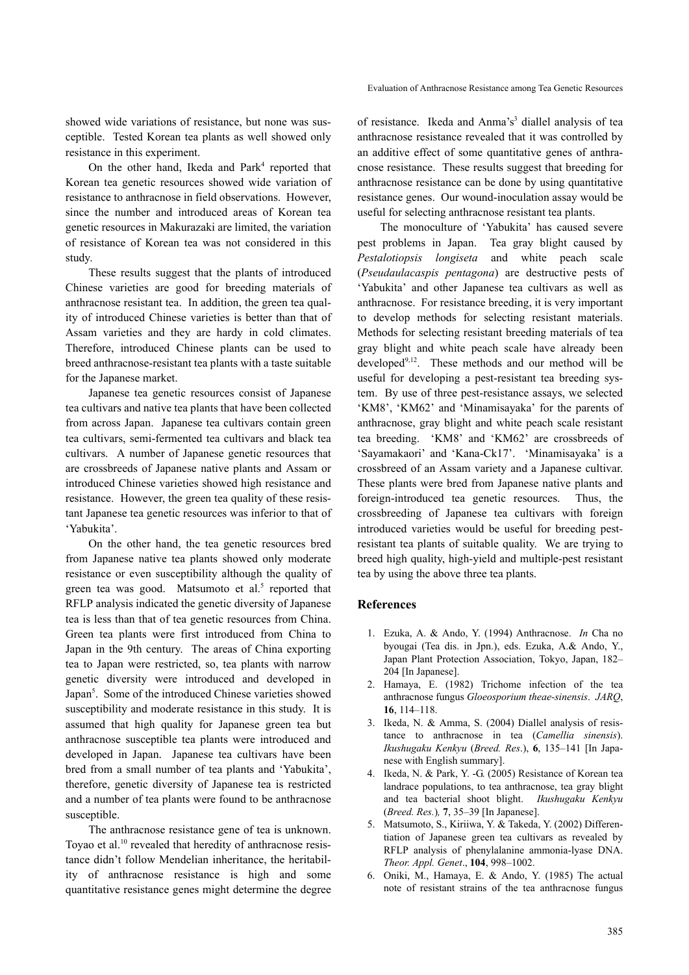showed wide variations of resistance, but none was susceptible. Tested Korean tea plants as well showed only resistance in this experiment.

On the other hand, Ikeda and Park<sup>4</sup> reported that Korean tea genetic resources showed wide variation of resistance to anthracnose in field observations. However, since the number and introduced areas of Korean tea genetic resources in Makurazaki are limited, the variation of resistance of Korean tea was not considered in this study.

These results suggest that the plants of introduced Chinese varieties are good for breeding materials of anthracnose resistant tea. In addition, the green tea quality of introduced Chinese varieties is better than that of Assam varieties and they are hardy in cold climates. Therefore, introduced Chinese plants can be used to breed anthracnose-resistant tea plants with a taste suitable for the Japanese market.

Japanese tea genetic resources consist of Japanese tea cultivars and native tea plants that have been collected from across Japan. Japanese tea cultivars contain green tea cultivars, semi-fermented tea cultivars and black tea cultivars. A number of Japanese genetic resources that are crossbreeds of Japanese native plants and Assam or introduced Chinese varieties showed high resistance and resistance. However, the green tea quality of these resistant Japanese tea genetic resources was inferior to that of 'Yabukita'.

On the other hand, the tea genetic resources bred from Japanese native tea plants showed only moderate resistance or even susceptibility although the quality of green tea was good. Matsumoto et al.<sup>5</sup> reported that RFLP analysis indicated the genetic diversity of Japanese tea is less than that of tea genetic resources from China. Green tea plants were first introduced from China to Japan in the 9th century. The areas of China exporting tea to Japan were restricted, so, tea plants with narrow genetic diversity were introduced and developed in Japan<sup>5</sup>. Some of the introduced Chinese varieties showed susceptibility and moderate resistance in this study. It is assumed that high quality for Japanese green tea but anthracnose susceptible tea plants were introduced and developed in Japan. Japanese tea cultivars have been bred from a small number of tea plants and 'Yabukita', therefore, genetic diversity of Japanese tea is restricted and a number of tea plants were found to be anthracnose susceptible.

The anthracnose resistance gene of tea is unknown. Toyao et al.<sup>10</sup> revealed that heredity of anthracnose resistance didn't follow Mendelian inheritance, the heritability of anthracnose resistance is high and some quantitative resistance genes might determine the degree

of resistance. Ikeda and Anma's<sup>3</sup> diallel analysis of tea anthracnose resistance revealed that it was controlled by an additive effect of some quantitative genes of anthracnose resistance. These results suggest that breeding for anthracnose resistance can be done by using quantitative resistance genes. Our wound-inoculation assay would be useful for selecting anthracnose resistant tea plants.

The monoculture of 'Yabukita' has caused severe pest problems in Japan. Tea gray blight caused by *Pestalotiopsis longiseta* and white peach scale (*Pseudaulacaspis pentagona*) are destructive pests of 'Yabukita' and other Japanese tea cultivars as well as anthracnose. For resistance breeding, it is very important to develop methods for selecting resistant materials. Methods for selecting resistant breeding materials of tea gray blight and white peach scale have already been developed $9,12$ . These methods and our method will be useful for developing a pest-resistant tea breeding system. By use of three pest-resistance assays, we selected 'KM8', 'KM62' and 'Minamisayaka' for the parents of anthracnose, gray blight and white peach scale resistant tea breeding. 'KM8' and 'KM62' are crossbreeds of 'Sayamakaori' and 'Kana-Ck17'. 'Minamisayaka' is a crossbreed of an Assam variety and a Japanese cultivar. These plants were bred from Japanese native plants and foreign-introduced tea genetic resources. Thus, the crossbreeding of Japanese tea cultivars with foreign introduced varieties would be useful for breeding pestresistant tea plants of suitable quality. We are trying to breed high quality, high-yield and multiple-pest resistant tea by using the above three tea plants.

### **References**

- 1. Ezuka, A. & Ando, Y. (1994) Anthracnose. *In* Cha no byougai (Tea dis. in Jpn.), eds. Ezuka, A.& Ando, Y., Japan Plant Protection Association, Tokyo, Japan, 182– 204 [In Japanese].
- 2. Hamaya, E. (1982) Trichome infection of the tea anthracnose fungus *Gloeosporium theae-sinensis*. *JARQ*, **16**, 114–118.
- 3. Ikeda, N. & Amma, S. (2004) Diallel analysis of resistance to anthracnose in tea (*Camellia sinensis*). *Ikushugaku Kenkyu* (*Breed. Res*.), **6**, 135–141 [In Japanese with English summary].
- 4. Ikeda, N. & Park, Y. -G. (2005) Resistance of Korean tea landrace populations, to tea anthracnose, tea gray blight and tea bacterial shoot blight. *Ikushugaku Kenkyu* (*Breed. Res.*)*,* **7**, 35–39 [In Japanese].
- 5. Matsumoto, S., Kiriiwa, Y. & Takeda, Y. (2002) Differentiation of Japanese green tea cultivars as revealed by RFLP analysis of phenylalanine ammonia-lyase DNA. *Theor. Appl. Genet*., **104**, 998–1002.
- 6. Oniki, M., Hamaya, E. & Ando, Y. (1985) The actual note of resistant strains of the tea anthracnose fungus